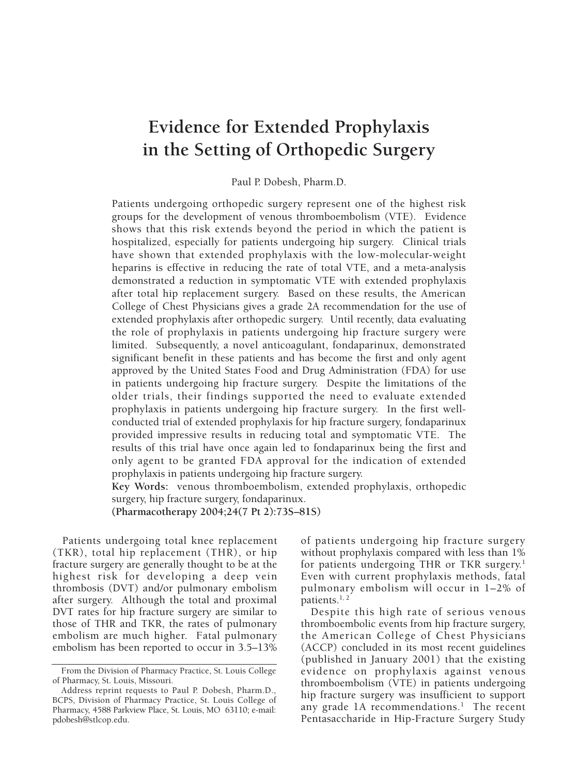# **Evidence for Extended Prophylaxis in the Setting of Orthopedic Surgery**

Paul P. Dobesh, Pharm.D.

Patients undergoing orthopedic surgery represent one of the highest risk groups for the development of venous thromboembolism (VTE). Evidence shows that this risk extends beyond the period in which the patient is hospitalized, especially for patients undergoing hip surgery. Clinical trials have shown that extended prophylaxis with the low-molecular-weight heparins is effective in reducing the rate of total VTE, and a meta-analysis demonstrated a reduction in symptomatic VTE with extended prophylaxis after total hip replacement surgery. Based on these results, the American College of Chest Physicians gives a grade 2A recommendation for the use of extended prophylaxis after orthopedic surgery. Until recently, data evaluating the role of prophylaxis in patients undergoing hip fracture surgery were limited. Subsequently, a novel anticoagulant, fondaparinux, demonstrated significant benefit in these patients and has become the first and only agent approved by the United States Food and Drug Administration (FDA) for use in patients undergoing hip fracture surgery. Despite the limitations of the older trials, their findings supported the need to evaluate extended prophylaxis in patients undergoing hip fracture surgery. In the first wellconducted trial of extended prophylaxis for hip fracture surgery, fondaparinux provided impressive results in reducing total and symptomatic VTE. The results of this trial have once again led to fondaparinux being the first and only agent to be granted FDA approval for the indication of extended prophylaxis in patients undergoing hip fracture surgery.

**Key Words:** venous thromboembolism, extended prophylaxis, orthopedic surgery, hip fracture surgery, fondaparinux.

**(Pharmacotherapy 2004;24(7 Pt 2):73S–81S)**

Patients undergoing total knee replacement (TKR), total hip replacement (THR), or hip fracture surgery are generally thought to be at the highest risk for developing a deep vein thrombosis (DVT) and/or pulmonary embolism after surgery. Although the total and proximal DVT rates for hip fracture surgery are similar to those of THR and TKR, the rates of pulmonary embolism are much higher. Fatal pulmonary embolism has been reported to occur in 3.5–13% of patients undergoing hip fracture surgery without prophylaxis compared with less than 1% for patients undergoing THR or TKR surgery.<sup>1</sup> Even with current prophylaxis methods, fatal pulmonary embolism will occur in 1–2% of patients.<sup>1, 2</sup>

Despite this high rate of serious venous thromboembolic events from hip fracture surgery, the American College of Chest Physicians (ACCP) concluded in its most recent guidelines (published in January 2001) that the existing evidence on prophylaxis against venous thromboembolism (VTE) in patients undergoing hip fracture surgery was insufficient to support any grade 1A recommendations.<sup>1</sup> The recent Pentasaccharide in Hip-Fracture Surgery Study

From the Division of Pharmacy Practice, St. Louis College of Pharmacy, St. Louis, Missouri.

Address reprint requests to Paul P. Dobesh, Pharm.D., BCPS, Division of Pharmacy Practice, St. Louis College of Pharmacy, 4588 Parkview Place, St. Louis, MO 63110; e-mail: pdobesh@stlcop.edu.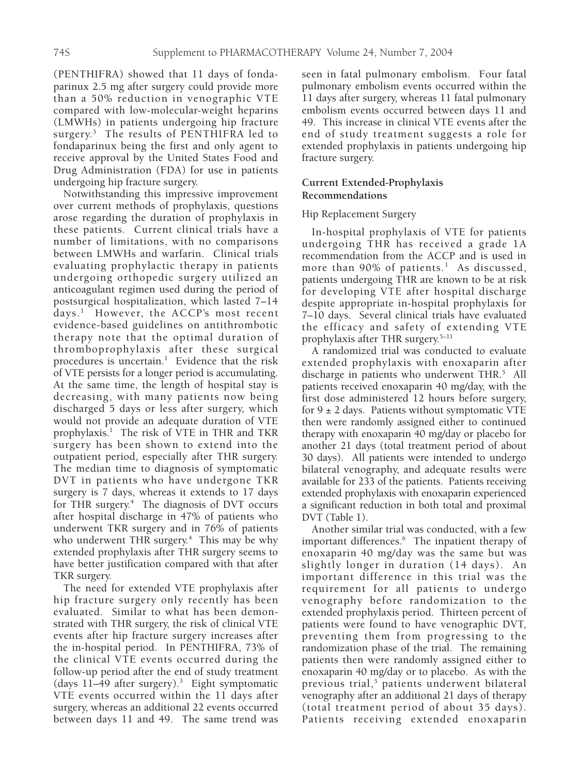(PENTHIFRA) showed that 11 days of fondaparinux 2.5 mg after surgery could provide more than a 50% reduction in venographic VTE compared with low-molecular-weight heparins (LMWHs) in patients undergoing hip fracture surgery.3 The results of PENTHIFRA led to fondaparinux being the first and only agent to receive approval by the United States Food and Drug Administration (FDA) for use in patients undergoing hip fracture surgery.

Notwithstanding this impressive improvement over current methods of prophylaxis, questions arose regarding the duration of prophylaxis in these patients. Current clinical trials have a number of limitations, with no comparisons between LMWHs and warfarin. Clinical trials evaluating prophylactic therapy in patients undergoing orthopedic surgery utilized an anticoagulant regimen used during the period of postsurgical hospitalization, which lasted 7–14 days.1 However, the ACCP's most recent evidence-based guidelines on antithrombotic therapy note that the optimal duration of thromboprophylaxis after these surgical procedures is uncertain.<sup>1</sup> Evidence that the risk of VTE persists for a longer period is accumulating. At the same time, the length of hospital stay is decreasing, with many patients now being discharged 5 days or less after surgery, which would not provide an adequate duration of VTE prophylaxis.<sup>1</sup> The risk of VTE in THR and TKR surgery has been shown to extend into the outpatient period, especially after THR surgery. The median time to diagnosis of symptomatic DVT in patients who have undergone TKR surgery is 7 days, whereas it extends to 17 days for THR surgery.<sup>4</sup> The diagnosis of DVT occurs after hospital discharge in 47% of patients who underwent TKR surgery and in 76% of patients who underwent THR surgery.<sup>4</sup> This may be why extended prophylaxis after THR surgery seems to have better justification compared with that after TKR surgery.

The need for extended VTE prophylaxis after hip fracture surgery only recently has been evaluated. Similar to what has been demonstrated with THR surgery, the risk of clinical VTE events after hip fracture surgery increases after the in-hospital period. In PENTHIFRA, 73% of the clinical VTE events occurred during the follow-up period after the end of study treatment (days 11–49 after surgery).3 Eight symptomatic VTE events occurred within the 11 days after surgery, whereas an additional 22 events occurred between days 11 and 49. The same trend was

seen in fatal pulmonary embolism. Four fatal pulmonary embolism events occurred within the 11 days after surgery, whereas 11 fatal pulmonary embolism events occurred between days 11 and 49. This increase in clinical VTE events after the end of study treatment suggests a role for extended prophylaxis in patients undergoing hip fracture surgery.

# **Current Extended-Prophylaxis Recommendations**

## Hip Replacement Surgery

In-hospital prophylaxis of VTE for patients undergoing THR has received a grade 1A recommendation from the ACCP and is used in more than 90% of patients.<sup>1</sup> As discussed, patients undergoing THR are known to be at risk for developing VTE after hospital discharge despite appropriate in-hospital prophylaxis for 7–10 days. Several clinical trials have evaluated the efficacy and safety of extending VTE prophylaxis after THR surgery.5–11

A randomized trial was conducted to evaluate extended prophylaxis with enoxaparin after discharge in patients who underwent THR.<sup>5</sup> All patients received enoxaparin 40 mg/day, with the first dose administered 12 hours before surgery, for  $9 \pm 2$  days. Patients without symptomatic VTE then were randomly assigned either to continued therapy with enoxaparin 40 mg/day or placebo for another 21 days (total treatment period of about 30 days). All patients were intended to undergo bilateral venography, and adequate results were available for 233 of the patients. Patients receiving extended prophylaxis with enoxaparin experienced a significant reduction in both total and proximal DVT (Table 1).

Another similar trial was conducted, with a few important differences.<sup>6</sup> The inpatient therapy of enoxaparin 40 mg/day was the same but was slightly longer in duration (14 days). An important difference in this trial was the requirement for all patients to undergo venography before randomization to the extended prophylaxis period. Thirteen percent of patients were found to have venographic DVT, preventing them from progressing to the randomization phase of the trial. The remaining patients then were randomly assigned either to enoxaparin 40 mg/day or to placebo. As with the previous trial,<sup>5</sup> patients underwent bilateral venography after an additional 21 days of therapy (total treatment period of about 35 days). Patients receiving extended enoxaparin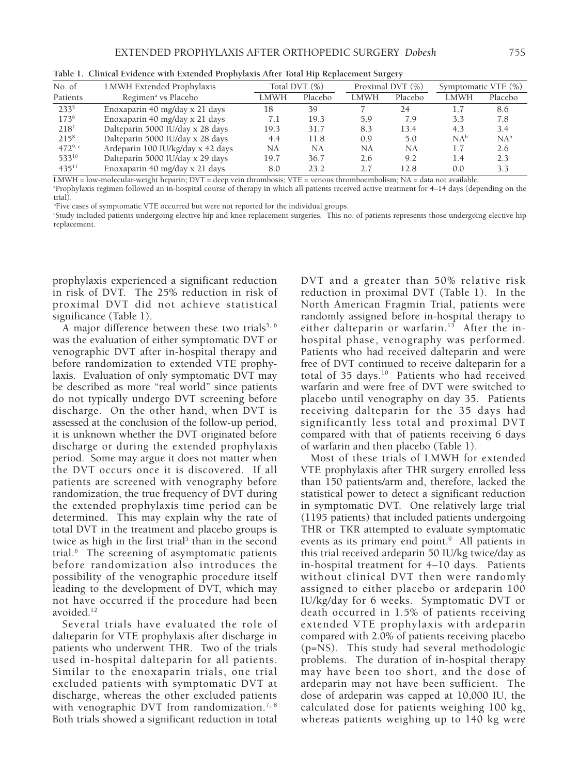| No. of      | LMWH Extended Prophylaxis         |      | Total DVT $(\%)$ |             | Proximal DVT (%) | Symptomatic VTE (%) |         |
|-------------|-----------------------------------|------|------------------|-------------|------------------|---------------------|---------|
| Patients    | Regimen <sup>a</sup> vs Placebo   | LMWH | Placebo          | <b>LMWH</b> | Placebo          | <b>LMWH</b>         | Placebo |
| 2335        | Enoxaparin 40 mg/day x 21 days    | 18   | 39               |             | 24               | 1.7                 | 8.6     |
| 1736        | Enoxaparin 40 mg/day x 21 days    | 7.1  | 19.3             | 5.9         | 7.9              | 3.3                 | 7.8     |
| $218^{7}$   | Dalteparin 5000 IU/day x 28 days  | 19.3 | 31.7             | 8.3         | 13.4             | 4.3                 | 3.4     |
| $215^{8}$   | Dalteparin 5000 IU/day x 28 days  | 4.4  | 11.8             | 0.9         | 5.0              | NA <sup>b</sup>     | $NA^b$  |
| $472^{9,c}$ | Ardeparin 100 IU/kg/day x 42 days | NA   | NA               | NA          | <b>NA</b>        | 1.7                 | 2.6     |
| 53310       | Dalteparin 5000 IU/day x 29 days  | 19.7 | 36.7             | 2.6         | 9.2              | 1.4                 | 2.3     |
| $435^{11}$  | Enoxaparin 40 mg/day x 21 days    | 8.0  | 23.2             | 2.7         | 12.8             | 0.0                 | 3.3     |

**Table 1. Clinical Evidence with Extended Prophylaxis After Total Hip Replacement Surgery**

LMWH = low-molecular-weight heparin; DVT = deep vein thrombosis; VTE = venous thromboembolism; NA = data not available. a Prophylaxis regimen followed an in-hospital course of therapy in which all patients received active treatment for 4–14 days (depending on the trial).

<sup>b</sup>Five cases of symptomatic VTE occurred but were not reported for the individual groups.

c Study included patients undergoing elective hip and knee replacement surgeries. This no. of patients represents those undergoing elective hip replacement.

prophylaxis experienced a significant reduction in risk of DVT. The 25% reduction in risk of proximal DVT did not achieve statistical significance (Table 1).

A major difference between these two trials<sup>5, 6</sup> was the evaluation of either symptomatic DVT or venographic DVT after in-hospital therapy and before randomization to extended VTE prophylaxis. Evaluation of only symptomatic DVT may be described as more "real world" since patients do not typically undergo DVT screening before discharge. On the other hand, when DVT is assessed at the conclusion of the follow-up period, it is unknown whether the DVT originated before discharge or during the extended prophylaxis period. Some may argue it does not matter when the DVT occurs once it is discovered. If all patients are screened with venography before randomization, the true frequency of DVT during the extended prophylaxis time period can be determined. This may explain why the rate of total DVT in the treatment and placebo groups is twice as high in the first trial<sup>5</sup> than in the second trial.6 The screening of asymptomatic patients before randomization also introduces the possibility of the venographic procedure itself leading to the development of DVT, which may not have occurred if the procedure had been avoided.12

Several trials have evaluated the role of dalteparin for VTE prophylaxis after discharge in patients who underwent THR. Two of the trials used in-hospital dalteparin for all patients. Similar to the enoxaparin trials, one trial excluded patients with symptomatic DVT at discharge, whereas the other excluded patients with venographic DVT from randomization.<sup>7, 8</sup> Both trials showed a significant reduction in total DVT and a greater than 50% relative risk reduction in proximal DVT (Table 1). In the North American Fragmin Trial, patients were randomly assigned before in-hospital therapy to either dalteparin or warfarin.<sup>13</sup> After the inhospital phase, venography was performed. Patients who had received dalteparin and were free of DVT continued to receive dalteparin for a total of 35 days.<sup>10</sup> Patients who had received warfarin and were free of DVT were switched to placebo until venography on day 35. Patients receiving dalteparin for the 35 days had significantly less total and proximal DVT compared with that of patients receiving 6 days of warfarin and then placebo (Table 1).

Most of these trials of LMWH for extended VTE prophylaxis after THR surgery enrolled less than 150 patients/arm and, therefore, lacked the statistical power to detect a significant reduction in symptomatic DVT. One relatively large trial (1195 patients) that included patients undergoing THR or TKR attempted to evaluate symptomatic events as its primary end point.<sup>9</sup> All patients in this trial received ardeparin 50 IU/kg twice/day as in-hospital treatment for 4–10 days. Patients without clinical DVT then were randomly assigned to either placebo or ardeparin 100 IU/kg/day for 6 weeks. Symptomatic DVT or death occurred in 1.5% of patients receiving extended VTE prophylaxis with ardeparin compared with 2.0% of patients receiving placebo (p=NS). This study had several methodologic problems. The duration of in-hospital therapy may have been too short, and the dose of ardeparin may not have been sufficient. The dose of ardeparin was capped at 10,000 IU, the calculated dose for patients weighing 100 kg, whereas patients weighing up to 140 kg were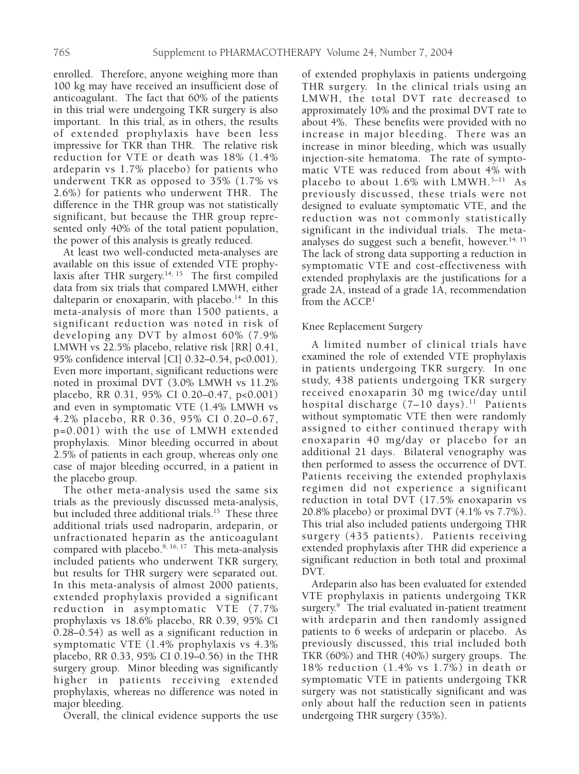enrolled. Therefore, anyone weighing more than 100 kg may have received an insufficient dose of anticoagulant. The fact that 60% of the patients in this trial were undergoing TKR surgery is also important. In this trial, as in others, the results of extended prophylaxis have been less impressive for TKR than THR. The relative risk reduction for VTE or death was 18% (1.4% ardeparin vs 1.7% placebo) for patients who underwent TKR as opposed to 35% (1.7% vs 2.6%) for patients who underwent THR. The difference in the THR group was not statistically significant, but because the THR group represented only 40% of the total patient population, the power of this analysis is greatly reduced.

At least two well-conducted meta-analyses are available on this issue of extended VTE prophylaxis after THR surgery.<sup>14, 15</sup> The first compiled data from six trials that compared LMWH, either dalteparin or enoxaparin, with placebo. $14$  In this meta-analysis of more than 1500 patients, a significant reduction was noted in risk of developing any DVT by almost 60% (7.9% LMWH vs 22.5% placebo, relative risk [RR] 0.41, 95% confidence interval [CI] 0.32–0.54, p<0.001). Even more important, significant reductions were noted in proximal DVT (3.0% LMWH vs 11.2% placebo, RR 0.31, 95% CI 0.20–0.47, p<0.001) and even in symptomatic VTE (1.4% LMWH vs 4.2% placebo, RR 0.36, 95% CI 0.20–0.67, p=0.001) with the use of LMWH extended prophylaxis. Minor bleeding occurred in about 2.5% of patients in each group, whereas only one case of major bleeding occurred, in a patient in the placebo group.

The other meta-analysis used the same six trials as the previously discussed meta-analysis, but included three additional trials.<sup>15</sup> These three additional trials used nadroparin, ardeparin, or unfractionated heparin as the anticoagulant compared with placebo.<sup>9, 16, 17</sup> This meta-analysis included patients who underwent TKR surgery, but results for THR surgery were separated out. In this meta-analysis of almost 2000 patients, extended prophylaxis provided a significant reduction in asymptomatic VTE (7.7% prophylaxis vs 18.6% placebo, RR 0.39, 95% CI 0.28–0.54) as well as a significant reduction in symptomatic VTE (1.4% prophylaxis vs 4.3% placebo, RR 0.33, 95% CI 0.19–0.56) in the THR surgery group. Minor bleeding was significantly higher in patients receiving extended prophylaxis, whereas no difference was noted in major bleeding.

Overall, the clinical evidence supports the use

of extended prophylaxis in patients undergoing THR surgery. In the clinical trials using an LMWH, the total DVT rate decreased to approximately 10% and the proximal DVT rate to about 4%. These benefits were provided with no increase in major bleeding. There was an increase in minor bleeding, which was usually injection-site hematoma. The rate of symptomatic VTE was reduced from about 4% with placebo to about  $1.6\%$  with LMWH.<sup>5-11</sup> As previously discussed, these trials were not designed to evaluate symptomatic VTE, and the reduction was not commonly statistically significant in the individual trials. The metaanalyses do suggest such a benefit, however.<sup>14, 15</sup> The lack of strong data supporting a reduction in symptomatic VTE and cost-effectiveness with extended prophylaxis are the justifications for a grade 2A, instead of a grade 1A, recommendation from the  $ACCP<sup>1</sup>$ 

# Knee Replacement Surgery

A limited number of clinical trials have examined the role of extended VTE prophylaxis in patients undergoing TKR surgery. In one study, 438 patients undergoing TKR surgery received enoxaparin 30 mg twice/day until hospital discharge  $(7-10 \text{ days})$ .<sup>11</sup> Patients without symptomatic VTE then were randomly assigned to either continued therapy with enoxaparin 40 mg/day or placebo for an additional 21 days. Bilateral venography was then performed to assess the occurrence of DVT. Patients receiving the extended prophylaxis regimen did not experience a significant reduction in total DVT (17.5% enoxaparin vs 20.8% placebo) or proximal DVT (4.1% vs 7.7%). This trial also included patients undergoing THR surgery (435 patients). Patients receiving extended prophylaxis after THR did experience a significant reduction in both total and proximal DVT.

Ardeparin also has been evaluated for extended VTE prophylaxis in patients undergoing TKR surgery.<sup>9</sup> The trial evaluated in-patient treatment with ardeparin and then randomly assigned patients to 6 weeks of ardeparin or placebo. As previously discussed, this trial included both TKR (60%) and THR (40%) surgery groups. The 18% reduction (1.4% vs 1.7%) in death or symptomatic VTE in patients undergoing TKR surgery was not statistically significant and was only about half the reduction seen in patients undergoing THR surgery (35%).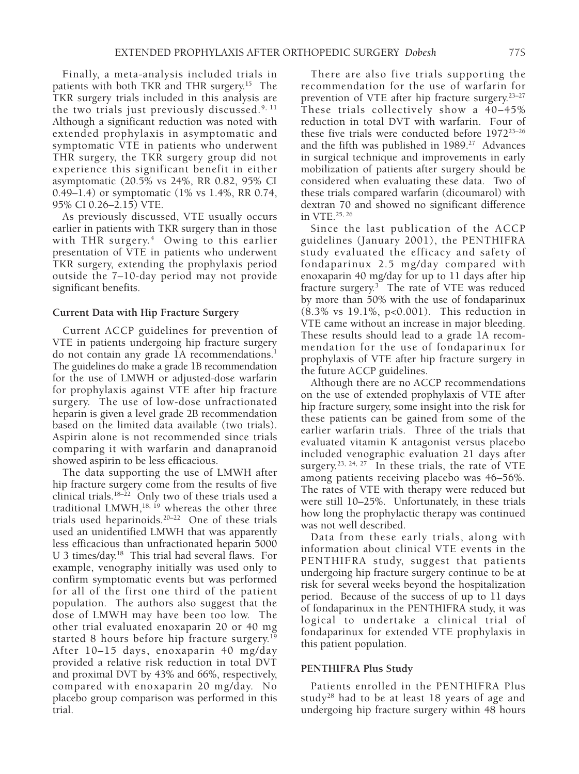Finally, a meta-analysis included trials in patients with both TKR and THR surgery.15 The TKR surgery trials included in this analysis are the two trials just previously discussed. $9,11$ Although a significant reduction was noted with extended prophylaxis in asymptomatic and symptomatic VTE in patients who underwent THR surgery, the TKR surgery group did not experience this significant benefit in either asymptomatic (20.5% vs 24%, RR 0.82, 95% CI 0.49–1.4) or symptomatic (1% vs 1.4%, RR 0.74, 95% CI 0.26–2.15) VTE.

As previously discussed, VTE usually occurs earlier in patients with TKR surgery than in those with THR surgery.<sup>4</sup> Owing to this earlier presentation of VTE in patients who underwent TKR surgery, extending the prophylaxis period outside the 7–10-day period may not provide significant benefits.

### **Current Data with Hip Fracture Surgery**

Current ACCP guidelines for prevention of VTE in patients undergoing hip fracture surgery do not contain any grade 1A recommendations. $<sup>1</sup>$ </sup> The guidelines do make a grade 1B recommendation for the use of LMWH or adjusted-dose warfarin for prophylaxis against VTE after hip fracture surgery. The use of low-dose unfractionated heparin is given a level grade 2B recommendation based on the limited data available (two trials). Aspirin alone is not recommended since trials comparing it with warfarin and danapranoid showed aspirin to be less efficacious.

The data supporting the use of LMWH after hip fracture surgery come from the results of five clinical trials. $18-22$  Only two of these trials used a traditional LMWH,<sup>18, 19</sup> whereas the other three trials used heparinoids. $20-22$  One of these trials used an unidentified LMWH that was apparently less efficacious than unfractionated heparin 5000 U 3 times/day.18 This trial had several flaws. For example, venography initially was used only to confirm symptomatic events but was performed for all of the first one third of the patient population. The authors also suggest that the dose of LMWH may have been too low. The other trial evaluated enoxaparin 20 or 40 mg started 8 hours before hip fracture surgery.<sup>19</sup> After 10–15 days, enoxaparin 40 mg/day provided a relative risk reduction in total DVT and proximal DVT by 43% and 66%, respectively, compared with enoxaparin 20 mg/day. No placebo group comparison was performed in this trial.

There are also five trials supporting the recommendation for the use of warfarin for prevention of VTE after hip fracture surgery.<sup>23-27</sup> These trials collectively show a 40–45% reduction in total DVT with warfarin. Four of these five trials were conducted before 197223–26 and the fifth was published in  $1989.^{27}$  Advances in surgical technique and improvements in early mobilization of patients after surgery should be considered when evaluating these data. Two of these trials compared warfarin (dicoumarol) with dextran 70 and showed no significant difference in VTE.25, 26

Since the last publication of the ACCP guidelines (January 2001), the PENTHIFRA study evaluated the efficacy and safety of fondaparinux 2.5 mg/day compared with enoxaparin 40 mg/day for up to 11 days after hip fracture surgery.3 The rate of VTE was reduced by more than 50% with the use of fondaparinux (8.3% vs 19.1%, p<0.001). This reduction in VTE came without an increase in major bleeding. These results should lead to a grade 1A recommendation for the use of fondaparinux for prophylaxis of VTE after hip fracture surgery in the future ACCP guidelines.

Although there are no ACCP recommendations on the use of extended prophylaxis of VTE after hip fracture surgery, some insight into the risk for these patients can be gained from some of the earlier warfarin trials. Three of the trials that evaluated vitamin K antagonist versus placebo included venographic evaluation 21 days after surgery.<sup>23, 24, 27</sup> In these trials, the rate of VTE among patients receiving placebo was 46–56%. The rates of VTE with therapy were reduced but were still 10–25%. Unfortunately, in these trials how long the prophylactic therapy was continued was not well described.

Data from these early trials, along with information about clinical VTE events in the PENTHIFRA study, suggest that patients undergoing hip fracture surgery continue to be at risk for several weeks beyond the hospitalization period. Because of the success of up to 11 days of fondaparinux in the PENTHIFRA study, it was logical to undertake a clinical trial of fondaparinux for extended VTE prophylaxis in this patient population.

#### **PENTHIFRA Plus Study**

Patients enrolled in the PENTHIFRA Plus study<sup>28</sup> had to be at least 18 years of age and undergoing hip fracture surgery within 48 hours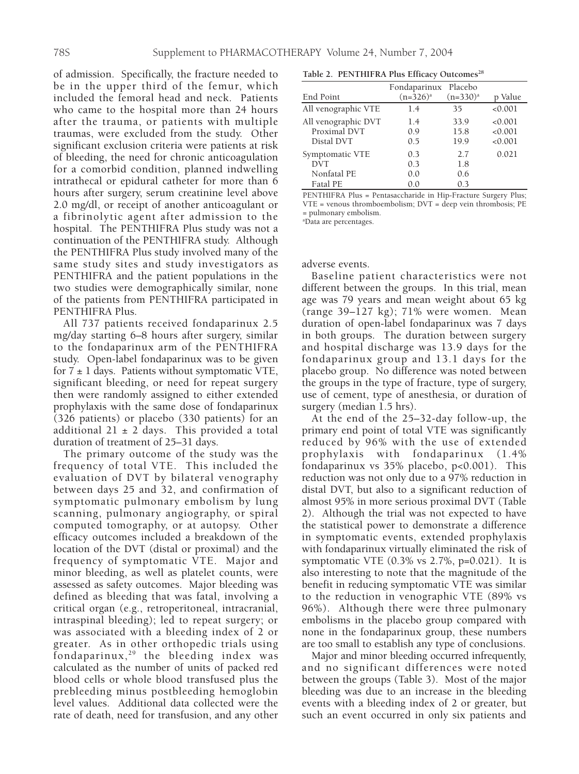of admission. Specifically, the fracture needed to be in the upper third of the femur, which included the femoral head and neck. Patients who came to the hospital more than 24 hours after the trauma, or patients with multiple traumas, were excluded from the study. Other significant exclusion criteria were patients at risk of bleeding, the need for chronic anticoagulation for a comorbid condition, planned indwelling intrathecal or epidural catheter for more than 6 hours after surgery, serum creatinine level above 2.0 mg/dl, or receipt of another anticoagulant or a fibrinolytic agent after admission to the hospital. The PENTHIFRA Plus study was not a continuation of the PENTHIFRA study. Although the PENTHIFRA Plus study involved many of the same study sites and study investigators as PENTHIFRA and the patient populations in the two studies were demographically similar, none of the patients from PENTHIFRA participated in PENTHIFRA Plus.

All 737 patients received fondaparinux 2.5 mg/day starting 6–8 hours after surgery, similar to the fondaparinux arm of the PENTHIFRA study. Open-label fondaparinux was to be given for  $7 \pm 1$  days. Patients without symptomatic VTE, significant bleeding, or need for repeat surgery then were randomly assigned to either extended prophylaxis with the same dose of fondaparinux (326 patients) or placebo (330 patients) for an additional  $21 \pm 2$  days. This provided a total duration of treatment of 25–31 days.

The primary outcome of the study was the frequency of total VTE. This included the evaluation of DVT by bilateral venography between days 25 and 32, and confirmation of symptomatic pulmonary embolism by lung scanning, pulmonary angiography, or spiral computed tomography, or at autopsy. Other efficacy outcomes included a breakdown of the location of the DVT (distal or proximal) and the frequency of symptomatic VTE. Major and minor bleeding, as well as platelet counts, were assessed as safety outcomes. Major bleeding was defined as bleeding that was fatal, involving a critical organ (e.g., retroperitoneal, intracranial, intraspinal bleeding); led to repeat surgery; or was associated with a bleeding index of 2 or greater. As in other orthopedic trials using fondaparinux, $29$  the bleeding index was calculated as the number of units of packed red blood cells or whole blood transfused plus the prebleeding minus postbleeding hemoglobin level values. Additional data collected were the rate of death, need for transfusion, and any other

| Table 2. PENTHIFRA Plus Efficacy Outcomes <sup>28</sup> |  |  |
|---------------------------------------------------------|--|--|
|---------------------------------------------------------|--|--|

|                     | Fondaparinux Placebo |             |         |
|---------------------|----------------------|-------------|---------|
| End Point           | $(n=326)^a$          | $(n=330)^a$ | p Value |
| All venographic VTE | 1.4                  | 35          | < 0.001 |
| All venographic DVT | 1.4                  | 33.9        | < 0.001 |
| Proximal DVT        | 09                   | 15.8        | < 0.001 |
| Distal DVT          | 0.5                  | 19.9        | < 0.001 |
| Symptomatic VTE     | 0.3                  | 2.7         | 0.021   |
| <b>DVT</b>          | 0.3                  | 1.8         |         |
| Nonfatal PE         | 0.0                  | 0.6         |         |
| Fatal PE            | 0.0                  | 03          |         |

PENTHIFRA Plus = Pentasaccharide in Hip-Fracture Surgery Plus; VTE = venous thromboembolism; DVT = deep vein thrombosis; PE = pulmonary embolism.

a Data are percentages.

adverse events.

Baseline patient characteristics were not different between the groups. In this trial, mean age was 79 years and mean weight about 65 kg (range 39–127 kg); 71% were women. Mean duration of open-label fondaparinux was 7 days in both groups. The duration between surgery and hospital discharge was 13.9 days for the fondaparinux group and 13.1 days for the placebo group. No difference was noted between the groups in the type of fracture, type of surgery, use of cement, type of anesthesia, or duration of surgery (median 1.5 hrs).

At the end of the 25–32-day follow-up, the primary end point of total VTE was significantly reduced by 96% with the use of extended prophylaxis with fondaparinux (1.4% fondaparinux vs 35% placebo, p<0.001). This reduction was not only due to a 97% reduction in distal DVT, but also to a significant reduction of almost 95% in more serious proximal DVT (Table 2). Although the trial was not expected to have the statistical power to demonstrate a difference in symptomatic events, extended prophylaxis with fondaparinux virtually eliminated the risk of symptomatic VTE (0.3% vs 2.7%, p=0.021). It is also interesting to note that the magnitude of the benefit in reducing symptomatic VTE was similar to the reduction in venographic VTE (89% vs 96%). Although there were three pulmonary embolisms in the placebo group compared with none in the fondaparinux group, these numbers are too small to establish any type of conclusions.

Major and minor bleeding occurred infrequently, and no significant differences were noted between the groups (Table 3). Most of the major bleeding was due to an increase in the bleeding events with a bleeding index of 2 or greater, but such an event occurred in only six patients and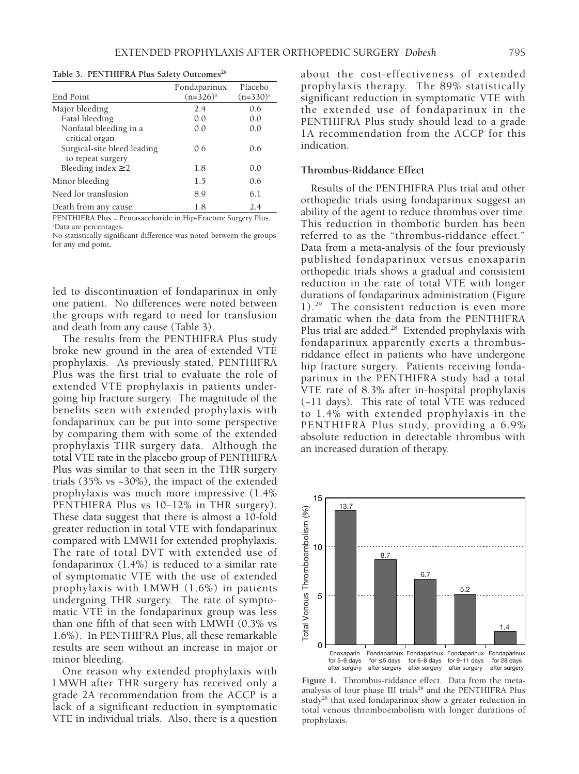Table 3. PENTHIFRA Plus Safety Outcomes<sup>28</sup>

|                                              | Fondaparinux | Placebo     |
|----------------------------------------------|--------------|-------------|
| End Point                                    | $(n=326)^a$  | $(n=330)^a$ |
| Major bleeding                               | 2.4          | 0.6         |
| Fatal bleeding                               | 0.0          | 0.0         |
| Nonfatal bleeding in a<br>critical organ     | 0.0          | 0.0         |
| Surgical-site bleed leading                  | 0.6          | 0.6         |
| to repeat surgery<br>Bleeding index $\geq 2$ | 1.8          | 0.0         |
| Minor bleeding                               | 1.5          | 0.6         |
| Need for transfusion                         | 8.9          | 6.1         |
| Death from any cause                         | 1.8          | 2.4         |

PENTHIFRA Plus = Pentasaccharide in Hip-Fracture Surgery Plus. a Data are percentages.

No statistically significant difference was noted between the groups for any end point.

led to discontinuation of fondaparinux in only one patient. No differences were noted between the groups with regard to need for transfusion and death from any cause (Table 3).

The results from the PENTHIFRA Plus study broke new ground in the area of extended VTE prophylaxis. As previously stated, PENTHIFRA Plus was the first trial to evaluate the role of extended VTE prophylaxis in patients undergoing hip fracture surgery. The magnitude of the benefits seen with extended prophylaxis with fondaparinux can be put into some perspective by comparing them with some of the extended prophylaxis THR surgery data. Although the total VTE rate in the placebo group of PENTHIFRA Plus was similar to that seen in the THR surgery trials (35% vs ~30%), the impact of the extended prophylaxis was much more impressive (1.4% PENTHIFRA Plus vs 10–12% in THR surgery). These data suggest that there is almost a 10-fold greater reduction in total VTE with fondaparinux compared with LMWH for extended prophylaxis. The rate of total DVT with extended use of fondaparinux (1.4%) is reduced to a similar rate of symptomatic VTE with the use of extended prophylaxis with LMWH (1.6%) in patients undergoing THR surgery. The rate of symptomatic VTE in the fondaparinux group was less than one fifth of that seen with LMWH (0.3% vs 1.6%). In PENTHIFRA Plus, all these remarkable results are seen without an increase in major or minor bleeding.

One reason why extended prophylaxis with LMWH after THR surgery has received only a grade 2A recommendation from the ACCP is a lack of a significant reduction in symptomatic VTE in individual trials. Also, there is a question about the cost-effectiveness of extended prophylaxis therapy. The 89% statistically significant reduction in symptomatic VTE with the extended use of fondaparinux in the PENTHIFRA Plus study should lead to a grade 1A recommendation from the ACCP for this indication.

#### **Thrombus-Riddance Effect**

Results of the PENTHIFRA Plus trial and other orthopedic trials using fondaparinux suggest an ability of the agent to reduce thrombus over time. This reduction in thombotic burden has been referred to as the "thrombus-riddance effect." Data from a meta-analysis of the four previously published fondaparinux versus enoxaparin orthopedic trials shows a gradual and consistent reduction in the rate of total VTE with longer durations of fondaparinux administration (Figure 1).29 The consistent reduction is even more dramatic when the data from the PENTHIFRA Plus trial are added.<sup>28</sup> Extended prophylaxis with fondaparinux apparently exerts a thrombusriddance effect in patients who have undergone hip fracture surgery. Patients receiving fondaparinux in the PENTHIFRA study had a total VTE rate of 8.3% after in-hospital prophylaxis (~11 days). This rate of total VTE was reduced to 1.4% with extended prophylaxis in the PENTHIFRA Plus study, providing a 6.9% absolute reduction in detectable thrombus with an increased duration of therapy.



**Figure 1.** Thrombus-riddance effect. Data from the metaanalysis of four phase III trials<sup>29</sup> and the PENTHIFRA Plus study28 that used fondaparinux show a greater reduction in total venous thromboembolism with longer durations of prophylaxis.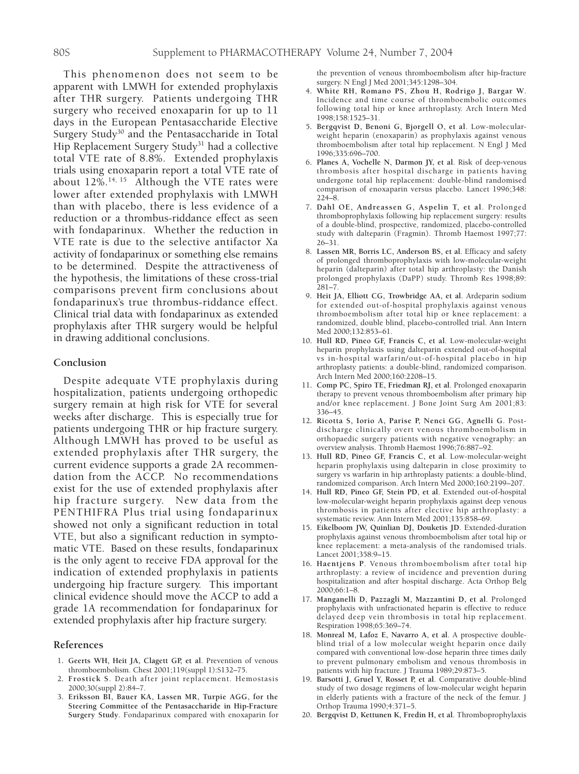This phenomenon does not seem to be apparent with LMWH for extended prophylaxis after THR surgery. Patients undergoing THR surgery who received enoxaparin for up to 11 days in the European Pentasaccharide Elective Surgery Study<sup>30</sup> and the Pentasaccharide in Total Hip Replacement Surgery Study<sup>31</sup> had a collective total VTE rate of 8.8%. Extended prophylaxis trials using enoxaparin report a total VTE rate of about  $12\%$ .<sup>14, 15</sup> Although the VTE rates were lower after extended prophylaxis with LMWH than with placebo, there is less evidence of a reduction or a thrombus-riddance effect as seen with fondaparinux. Whether the reduction in VTE rate is due to the selective antifactor Xa activity of fondaparinux or something else remains to be determined. Despite the attractiveness of the hypothesis, the limitations of these cross-trial comparisons prevent firm conclusions about fondaparinux's true thrombus-riddance effect. Clinical trial data with fondaparinux as extended prophylaxis after THR surgery would be helpful in drawing additional conclusions.

#### **Conclusion**

Despite adequate VTE prophylaxis during hospitalization, patients undergoing orthopedic surgery remain at high risk for VTE for several weeks after discharge. This is especially true for patients undergoing THR or hip fracture surgery. Although LMWH has proved to be useful as extended prophylaxis after THR surgery, the current evidence supports a grade 2A recommendation from the ACCP. No recommendations exist for the use of extended prophylaxis after hip fracture surgery. New data from the PENTHIFRA Plus trial using fondaparinux showed not only a significant reduction in total VTE, but also a significant reduction in symptomatic VTE. Based on these results, fondaparinux is the only agent to receive FDA approval for the indication of extended prophylaxis in patients undergoing hip fracture surgery. This important clinical evidence should move the ACCP to add a grade 1A recommendation for fondaparinux for extended prophylaxis after hip fracture surgery.

#### **References**

- 1**. Geerts WH, Heit JA, Clagett GP, et al**. Prevention of venous thromboembolism. Chest 2001;119(suppl 1):S132–75.
- 2**. Frostick S**. Death after joint replacement. Hemostasis 2000;30(suppl 2):84–7.
- 3**. Eriksson BI, Bauer KA, Lassen MR, Turpie AGG, for the Steering Committee of the Pentasaccharide in Hip-Fracture Surgery Study**. Fondaparinux compared with enoxaparin for

the prevention of venous thromboembolism after hip-fracture surgery. N Engl J Med 2001;345:1298–304.

- 4**. White RH, Romano PS, Zhou H, Rodrigo J, Bargar W**. Incidence and time course of thromboembolic outcomes following total hip or knee arthroplasty. Arch Intern Med 1998;158:1525–31.
- 5**. Bergqvist D, Benoni G, Bjorgell O, et al**. Low-molecularweight heparin (enoxaparin) as prophylaxis against venous thromboembolism after total hip replacement. N Engl J Med 1996;335:696–700.
- 6**. Planes A, Vochelle N, Darmon JY, et al**. Risk of deep-venous thrombosis after hospital discharge in patients having undergone total hip replacement: double-blind randomised comparison of enoxaparin versus placebo. Lancet 1996;348: 224–8.
- 7**. Dahl OE, Andreassen G, Aspelin T, et al**. Prolonged thromboprophylaxis following hip replacement surgery: results of a double-blind, prospective, randomized, placebo-controlled study with dalteparin (Fragmin). Thromb Haemost 1997;77: 26–31.
- 8**. Lassen MR, Borris LC, Anderson BS, et al**. Efficacy and safety of prolonged thromboprophylaxis with low-molecular-weight heparin (dalteparin) after total hip arthroplasty: the Danish prolonged prophylaxis (DaPP) study. Thromb Res 1998;89: 281–7.
- 9**. Heit JA, Elliott CG, Trowbridge AA, et al**. Ardeparin sodium for extended out-of-hospital prophylaxis against venous thromboembolism after total hip or knee replacement: a randomized, double blind, placebo-controlled trial. Ann Intern Med 2000;132:853–61.
- 10**. Hull RD, Pineo GF, Francis C, et al**. Low-molecular-weight heparin prophylaxis using dalteparin extended out-of-hospital vs in-hospital warfarin/out-of-hospital placebo in hip arthroplasty patients: a double-blind, randomized comparison. Arch Intern Med 2000;160:2208–15.
- 11**. Comp PC, Spiro TE, Friedman RJ, et al**. Prolonged enoxaparin therapy to prevent venous thromboembolism after primary hip and/or knee replacement. J Bone Joint Surg Am 2001;83: 336–45.
- 12**. Ricotta S, Iorio A, Parise P, Nenci GG, Agnelli G**. Postdischarge clinically overt venous thromboembolism in orthopaedic surgery patients with negative venography: an overview analysis. Thromb Haemost 1996;76:887–92.
- 13**. Hull RD, Pineo GF, Francis C, et al**. Low-molecular-weight heparin prophylaxis using dalteparin in close proximity to surgery vs warfarin in hip arthroplasty patients: a double-blind, randomized comparison. Arch Intern Med 2000;160:2199–207.
- 14**. Hull RD, Pineo GF, Stein PD, et al**. Extended out-of-hospital low-molecular-weight heparin prophylaxis against deep venous thrombosis in patients after elective hip arthroplasty: a systematic review. Ann Intern Med 2001;135:858–69.
- 15**. Eikelboom JW, Quinlian DJ, Douketis JD**. Extended-duration prophylaxis against venous thromboembolism after total hip or knee replacement: a meta-analysis of the randomised trials. Lancet 2001;358:9–15.
- 16**. Haentjens P**. Venous thromboembolism after total hip arthroplasty: a review of incidence and prevention during hospitalization and after hospital discharge. Acta Orthop Belg 2000;66:1–8.
- 17**. Manganelli D, Pazzagli M, Mazzantini D, et al**. Prolonged prophylaxis with unfractionated heparin is effective to reduce delayed deep vein thrombosis in total hip replacement. Respiration 1998;65:369–74.
- 18**. Monreal M, Lafoz E, Navarro A, et al**. A prospective doubleblind trial of a low molecular weight heparin once daily compared with conventional low-dose heparin three times daily to prevent pulmonary embolism and venous thrombosis in patients with hip fracture. J Trauma 1989;29:873–5.
- 19**. Barsotti J, Gruel Y, Rosset P, et al**. Comparative double-blind study of two dosage regimens of low-molecular weight heparin in elderly patients with a fracture of the neck of the femur. J Orthop Trauma 1990;4:371–5.
- 20**. Bergqvist D, Kettunen K, Fredin H, et al**. Thromboprophylaxis